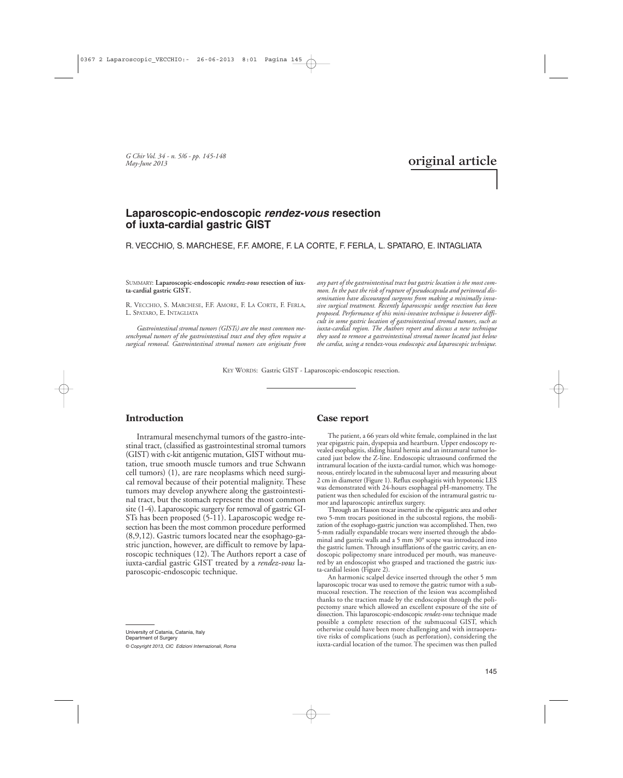*G Chir Vol. 34 - n. 5/6 - pp. 145-148 May-June 2013*

# **original article**

## **Laparoscopic-endoscopic rendez-vous resection of iuxta-cardial gastric GIST**

R. VECCHIO, S. MARCHESE, F.F. AMORE, F. LA CORTE, F. FERLA, L. SPATARO, E. INTAGLIATA

SUMMARY: **Laparoscopic-endoscopic** *rendez-vous* **resection of iuxta-cardial gastric GIST.**

R. VECCHIO, S. MARCHESE, F.F. AMORE, F. LA CORTE, F. FERLA, L. SPATARO, E. INTAGLIATA

*Gastrointestinal stromal tumors (GISTs) are the most common mesenchymal tumors of the gastrointestinal tract and they often require a surgical removal. Gastrointestinal stromal tumors can originate from*

*any part of the gastrointestinal tract but gastric location is the most common. In the past the risk of rupture of pseudocapsula and peritoneal dissemination have discouraged surgeons from making a minimally invasive surgical treatment. Recently laparoscopic wedge resection has been proposed. Performance of this mini-invasive technique is however difficult in some gastric location of gastrointestinal stromal tumors, such as iuxta-cardial region. The Authors report and discuss a new technique they used to remove a gastrointestinal stromal tumor located just below the cardia, using a* rendez-vous *endoscopic and laparoscopic technique.*

KEY WORDS: Gastric GIST - Laparoscopic-endoscopic resection.

#### **Introduction**

Intramural mesenchymal tumors of the gastro-intestinal tract, (classified as gastrointestinal stromal tumors (GIST) with c-kit antigenic mutation, GIST without mutation, true smooth muscle tumors and true Schwann cell tumors) (1), are rare neoplasms which need surgical removal because of their potential malignity. These tumors may develop anywhere along the gastrointestinal tract, but the stomach represent the most common site (1-4). Laparoscopic surgery for removal of gastric GI-STs has been proposed (5-11). Laparoscopic wedge resection has been the most common procedure performed (8,9,12). Gastric tumors located near the esophago-gastric junction, however, are difficult to remove by laparoscopic techniques (12). The Authors report a case of iuxta-cardial gastric GIST treated by a *rendez-vous* laparoscopic-endoscopic technique.

University of Catania, Catania, Italy Department of Surgery *© Copyright 2013, CIC Edizioni Internazionali, Roma*

#### **Case report**

The patient, a 66 years old white female, complained in the last year epigastric pain, dyspepsia and heartburn. Upper endoscopy revealed esophagitis, sliding hiatal hernia and an intramural tumor located just below the Z-line. Endoscopic ultrasound confirmed the intramural location of the iuxta-cardial tumor, which was homogeneous, entirely located in the submucosal layer and measuring about 2 cm in diameter (Figure 1). Reflux esophagitis with hypotonic LES was demonstrated with 24-hours esophageal pH-manometry. The patient was then scheduled for excision of the intramural gastric tumor and laparoscopic antireflux surgery.

Through an Hasson trocar inserted in the epigastric area and other two 5-mm trocars positioned in the subcostal regions, the mobilization of the esophago-gastric junction was accomplished. Then, two 5-mm radially expandable trocars were inserted through the abdominal and gastric walls and a 5 mm 30° scope was introduced into the gastric lumen. Through insufflations of the gastric cavity, an endoscopic polipectomy snare introduced per mouth, was maneuvered by an endoscopist who grasped and tractioned the gastric iuxta-cardial lesion (Figure 2).

An harmonic scalpel device inserted through the other 5 mm laparoscopic trocar was used to remove the gastric tumor with a submucosal resection. The resection of the lesion was accomplished thanks to the traction made by the endoscopist through the polipectomy snare which allowed an excellent exposure of the site of dissection. This laparoscopic-endoscopic *rendez-vous* technique made possible a complete resection of the submucosal GIST, which otherwise could have been more challenging and with intraoperative risks of complications (such as perforation), considering the iuxta-cardial location of the tumor. The specimen was then pulled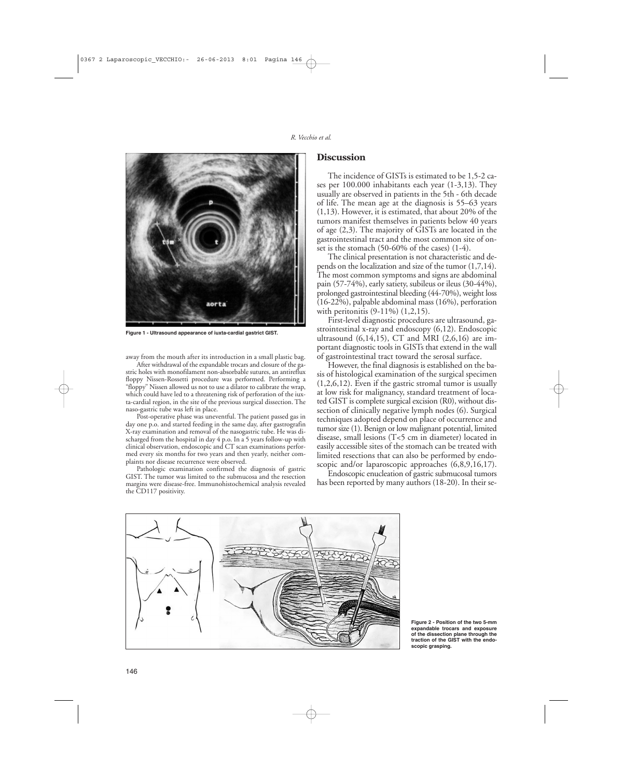

**Figure 1 - Ultrasound appearance of iuxta-cardial gastrict GIST.**

away from the mouth after its introduction in a small plastic bag. After withdrawal of the expandable trocars and closure of the gastric holes with monofilament non-absorbable sutures, an antireflux floppy Nissen-Rossetti procedure was performed. Performing a "floppy" Nissen allowed us not to use a dilator to calibrate the wrap, which could have led to a threatening risk of perforation of the iuxta-cardial region, in the site of the previous surgical dissection. The naso-gastric tube was left in place.

Post-operative phase was uneventful. The patient passed gas in day one p.o. and started feeding in the same day, after gastrografin X-ray examination and removal of the nasogastric tube. He was discharged from the hospital in day 4 p.o. In a 5 years follow-up with clinical observation, endoscopic and CT scan examinations performed every six months for two years and then yearly, neither complaints nor disease recurrence were observed.

Pathologic examination confirmed the diagnosis of gastric GIST. The tumor was limited to the submucosa and the resection margins were disease-free. Immunohistochemical analysis revealed the CD117 positivity.

#### **Discussion**

The incidence of GISTs is estimated to be 1,5-2 cases per 100.000 inhabitants each year (1-3,13). They usually are observed in patients in the 5th - 6th decade of life. The mean age at the diagnosis is 55–63 years (1,13). However, it is estimated, that about 20% of the tumors manifest themselves in patients below 40 years of age (2,3). The majority of GISTs are located in the gastrointestinal tract and the most common site of onset is the stomach (50-60% of the cases) (1-4).

The clinical presentation is not characteristic and depends on the localization and size of the tumor (1,7,14). The most common symptoms and signs are abdominal pain (57-74%), early satiety, subileus or ileus (30-44%), prolonged gastrointestinal bleeding (44-70%), weight loss (16-22%), palpable abdominal mass (16%), perforation with peritonitis (9-11%) (1,2,15).

First-level diagnostic procedures are ultrasound, gastrointestinal x-ray and endoscopy (6,12). Endoscopic ultrasound  $(6,14,15)$ , CT and MRI  $(2,6,16)$  are important diagnostic tools in GISTs that extend in the wall of gastrointestinal tract toward the serosal surface.

However, the final diagnosis is established on the basis of histological examination of the surgical specimen  $(1,2,6,12)$ . Even if the gastric stromal tumor is usually at low risk for malignancy, standard treatment of located GIST is complete surgical excision (R0), without dissection of clinically negative lymph nodes (6). Surgical techniques adopted depend on place of occurrence and tumor size (1). Benign or low malignant potential, limited disease, small lesions (T<5 cm in diameter) located in easily accessible sites of the stomach can be treated with limited resections that can also be performed by endoscopic and/or laparoscopic approaches (6,8,9,16,17).

Endoscopic enucleation of gastric submucosal tumors has been reported by many authors (18-20). In their se-



**Figure 2 - Position of the two 5-mm expandable trocars and exposure of the dissection plane through the traction of the GIST with the endoscopic grasping.**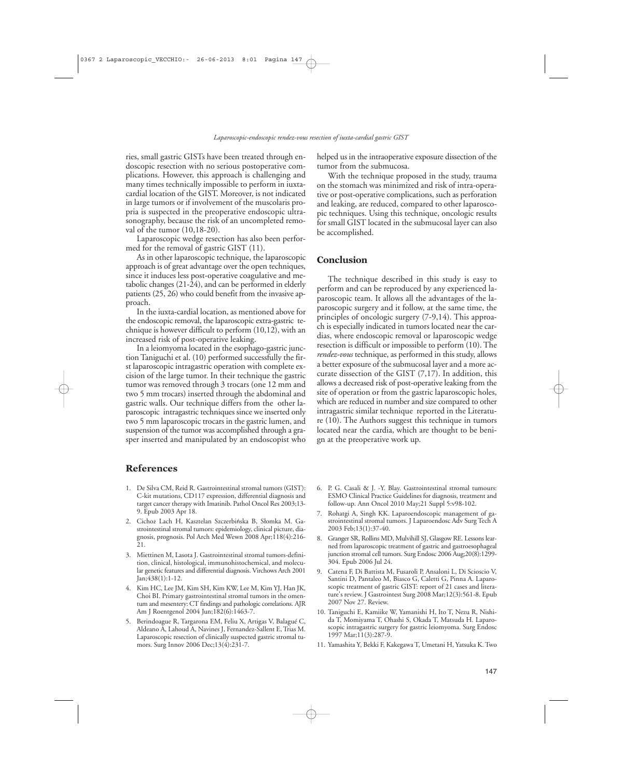ries, small gastric GISTs have been treated through endoscopic resection with no serious postoperative complications. However, this approach is challenging and many times technically impossible to perform in iuxtacardial location of the GIST. Moreover, is not indicated in large tumors or if involvement of the muscolaris propria is suspected in the preoperative endoscopic ultrasonography, because the risk of an uncompleted removal of the tumor (10,18-20).

Laparoscopic wedge resection has also been performed for the removal of gastric GIST (11).

As in other laparoscopic technique, the laparoscopic approach is of great advantage over the open techniques, since it induces less post-operative coagulative and metabolic changes (21-24), and can be performed in elderly patients (25, 26) who could benefit from the invasive approach.

In the iuxta-cardial location, as mentioned above for the endoscopic removal, the laparoscopic extra-gastric technique is however difficult to perform (10,12), with an increased risk of post-operative leaking.

In a leiomyoma located in the esophago-gastric junction Taniguchi et al. (10) performed successfully the first laparoscopic intragastric operation with complete excision of the large tumor. In their technique the gastric tumor was removed through 3 trocars (one 12 mm and two 5 mm trocars) inserted through the abdominal and gastric walls. Our technique differs from the other laparoscopic intragastric techniques since we inserted only two 5 mm laparoscopic trocars in the gastric lumen, and suspension of the tumor was accomplished through a grasper inserted and manipulated by an endoscopist who

helped us in the intraoperative exposure dissection of the tumor from the submucosa.

With the technique proposed in the study, trauma on the stomach was minimized and risk of intra-operative or post-operative complications, such as perforation and leaking, are reduced, compared to other laparoscopic techniques. Using this technique, oncologic results for small GIST located in the submucosal layer can also be accomplished.

#### **Conclusion**

The technique described in this study is easy to perform and can be reproduced by any experienced laparoscopic team. It allows all the advantages of the laparoscopic surgery and it follow, at the same time, the principles of oncologic surgery (7-9,14). This approach is especially indicated in tumors located near the cardias, where endoscopic removal or laparoscopic wedge resection is difficult or impossible to perform (10). The *rendez-vous* technique, as performed in this study, allows a better exposure of the submucosal layer and a more accurate dissection of the GIST (7,17). In addition, this allows a decreased risk of post-operative leaking from the site of operation or from the gastric laparoscopic holes, which are reduced in number and size compared to other intragastric similar technique reported in the Literature (10). The Authors suggest this technique in tumors located near the cardia, which are thought to be benign at the preoperative work up.

### **References**

- 1. De Silva CM, Reid R. Gastrointestinal stromal tumors (GIST): C-kit mutations, CD117 expression, differential diagnosis and target cancer therapy with Imatinib. Pathol Oncol Res 2003;13- 9. Epub 2003 Apr 18.
- 2. Cichoż Lach H, Kasztelan Szczerbińska B, Słomka M. Gastrointestinal stromal tumors: epidemiology, clinical picture, diagnosis, prognosis. Pol Arch Med Wewn 2008 Apr;118(4):216-  $\overline{2}1$
- 3. Miettinen M, Lasota J. Gastrointestinal stromal tumors-definition, clinical, histological, immunohistochemical, and molecular genetic features and differential diagnosis. Virchows Arch 2001 Jan;438(1):1-12.
- 4. Kim HC, Lee JM, Kim SH, Kim KW, Lee M, Kim YJ, Han JK, Choi BI. Primary gastrointestinal stromal tumors in the omentum and mesentery: CT findings and pathologic correlations. AJR Am J Roentgenol 2004 Jun;182(6):1463-7.
- 5. Berindoague R, Targarona EM, Feliu X, Artigas V, Balagué C, Aldeano A, Lahoud A, Navines J, Fernandez-Sallent E, Trias M. Laparoscopic resection of clinically suspected gastric stromal tumors. Surg Innov 2006 Dec;13(4):231-7.
- 6. P. G. Casali & J. -Y. Blay. Gastrointestinal stromal tumours: ESMO Clinical Practice Guidelines for diagnosis, treatment and follow-up. Ann Oncol 2010 May;21 Suppl 5:v98-102.
- 7. Rohatgi A, Singh KK. Laparoendoscopic management of gastrointestinal stromal tumors. J Laparoendosc Adv Surg Tech A 2003 Feb;13(1):37-40.
- 8. Granger SR, Rollins MD, Mulvihill SJ, Glasgow RE. Lessons learned from laparoscopic treatment of gastric and gastroesophageal junction stromal cell tumors. Surg Endosc 2006 Aug;20(8):1299- 304. Epub 2006 Jul 24.
- 9. Catena F, Di Battista M, Fusaroli P, Ansaloni L, Di Scioscio V, Santini D, Pantaleo M, Biasco G, Caletti G, Pinna A. Laparoscopic treatment of gastric GIST: report of 21 cases and literature's review. J Gastrointest Surg 2008 Mar;12(3):561-8. Epub 2007 Nov 27. Review.
- 10. Taniguchi E, Kamiike W, Yamanishi H, Ito T, Nezu R, Nishida T, Momiyama T, Ohashi S, Okada T, Matsuda H. Laparoscopic intragastric surgery for gastric leiomyoma. Surg Endosc 1997 Mar;11(3):287-9.
- 11. Yamashita Y, Bekki F, Kakegawa T, Umetani H, Yatsuka K. Two